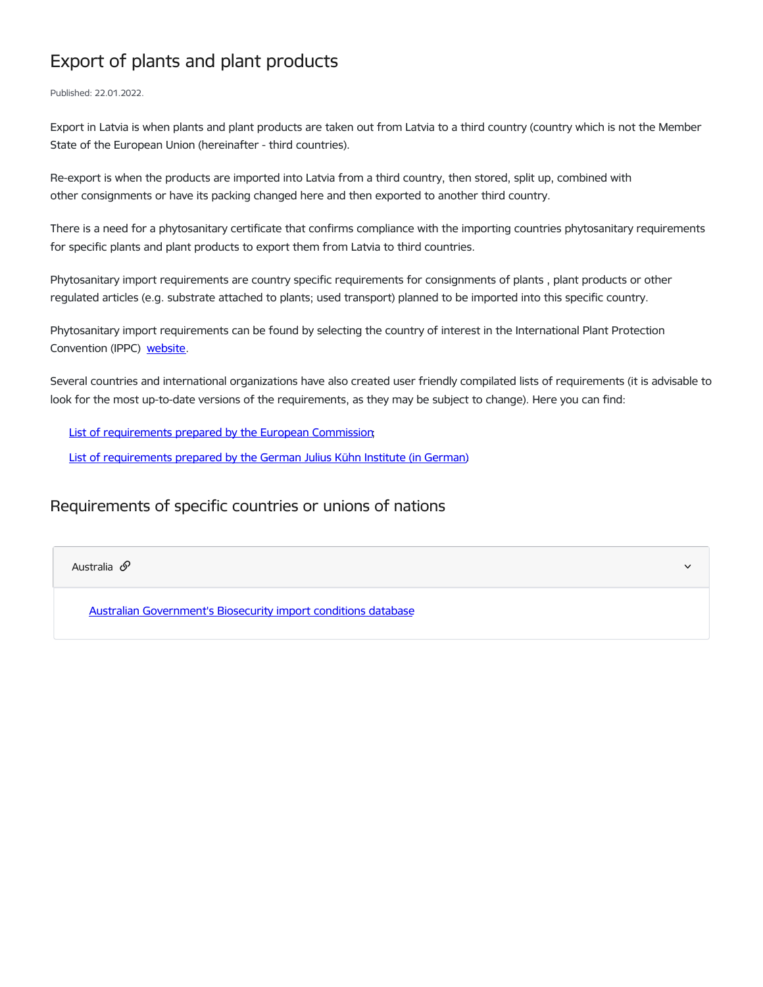# Export of plants and plant products

#### Published: 22.01.2022.

Export in Latvia is when plants and plant products are taken out from Latvia to a third country (country which is not the Member State of the European Union (hereinafter - third countries).

Re-export is when the products are imported into Latvia from a third country, then stored, split up, combined with other consignments or have its packing changed here and then exported to another third country.

There is a need for a phytosanitary certificate that confirms compliance with the importing countries phytosanitary requirements for specific plants and plant products to export them from Latvia to third countries.

Phytosanitary import requirements are country specific requirements for consignments of plants , plant products or other regulated articles (e.g. substrate attached to plants; used transport) planned to be imported into this specific country.

Phytosanitary import requirements can be found by selecting the country of interest in the International Plant Protection Convention (IPPC) [website](https://www.ippc.int/en/countries/).

Several countries and international organizations have also created user friendly compilated lists of requirements (it is advisable to look for the most up-to-date versions of the requirements, as they may be subject to change). Here you can find:

List of [requirements](https://trade.ec.europa.eu/access-to-markets/en/non-eu-markets) prepared by the European Commission;

List of [requirements](https://pflanzengesundheit.julius-kuehn.de/index.php?menuid=28&reporeid=20) prepared by the German Julius Kühn Institute (in German).

## Requirements of specific countries or unions of nations

Australia  $\mathscr O$  . The contract of the contract of the contract of the contract of the contract of the contract of the contract of the contract of the contract of the contract of the contract of the contract of the contra

Australian [Government's](https://bicon.agriculture.gov.au/BiconWeb4.0) Biosecurity import conditions database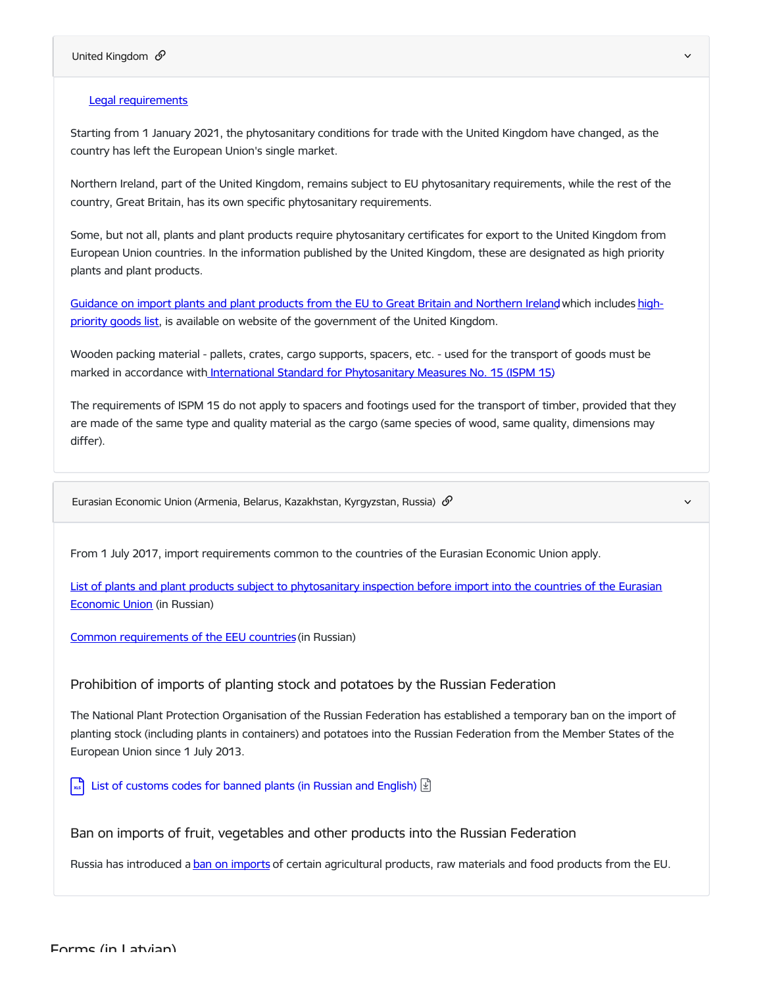#### United Kingdom &

#### Legal [requirements](https://www.legislation.gov.uk/cy/uksi/2005/2517/made)

Starting from 1 January 2021, the phytosanitary conditions for trade with the United Kingdom have changed, as the country has left the European Union's single market.

Northern Ireland, part of the United Kingdom, remains subject to EU phytosanitary requirements, while the rest of the country, Great Britain, has its own specific phytosanitary requirements.

Some, but not all, plants and plant products require phytosanitary certificates for export to the United Kingdom from European Union countries. In the information published by the United Kingdom, these are designated as high priority plants and plant products.

[Guidance](https://www.gov.uk/guidance/import-plants-and-plant-products-from-the-eu-to-great-britain-and-northern-ireland) on import plants and plant products from the EU to Great Britain and Northern Ireland, which includes highpriority goods list, is available on website of the [government](https://assets.publishing.service.gov.uk/government/uploads/system/uploads/attachment_data/file/997688/High-priority_plants_list.odt) of the United Kingdom.

Wooden packing material - pallets, crates, cargo supports, spacers, etc. - used for the transport of goods must be marked in accordance with International Standard for [Phytosanitary](https://www.ippc.int/en/publications/regulation-wood-packaging-material-international-trade-0/) Measures No. 15 (ISPM 15)

The requirements of ISPM 15 do not apply to spacers and footings used for the transport of timber, provided that they are made of the same type and quality material as the cargo (same species of wood, same quality, dimensions may differ).

Eurasian Economic Union (Armenia, Belarus, Kazakhstan, Kyrgyzstan, Russia)  $\mathscr{P}$  and the control of the control of the control of the control of the control of the control of the control of the control of the control o

From 1 July 2017, import requirements common to the countries of the Eurasian Economic Union apply.

List of plants and plant products subject to [phytosanitary](https://normativ.kontur.ru/document?moduleId=1&documentId=391326#h508) inspection before import into the countries of the Eurasian Economic Union (in Russian)

Common [requirements](https://docs.cntd.ru/document/456047392) of the EEU countries (in Russian)

Prohibition of imports of planting stock and potatoes by the Russian Federation

The National Plant Protection Organisation of the Russian Federation has established a temporary ban on the import of planting stock (including plants in containers) and potatoes into the Russian Federation from the Member States of the European Union since 1 July 2013.

 $\left| \cdot \right|$  List of [customs](https://www.vaad.gov.lv/en/media/142/download) codes for banned plants (in Russian and English)  $\left| \cdot \right|$ 

Ban on imports of fruit, vegetables and other products into the Russian Federation

Russia has introduced a ban on [imports](https://ec.europa.eu/food/safety/international_affairs/eu_russia/russian_import_ban_eu_products_en) of certain agricultural products, raw materials and food products from the EU.